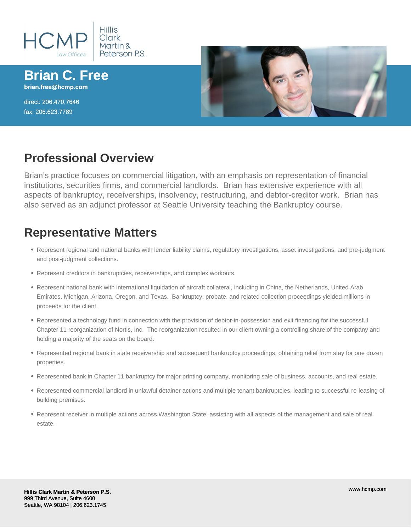

**Brian C. Free brian.free@hcmp.com**

direct: 206.470.7646 fax: 206.623.7789



## **Professional Overview**

Brian's practice focuses on commercial litigation, with an emphasis on representation of financial institutions, securities firms, and commercial landlords. Brian has extensive experience with all aspects of bankruptcy, receiverships, insolvency, restructuring, and debtor-creditor work. Brian has also served as an adjunct professor at Seattle University teaching the Bankruptcy course.

# **Representative Matters**

- Represent regional and national banks with lender liability claims, regulatory investigations, asset investigations, and pre-judgment and post-judgment collections.
- Represent creditors in bankruptcies, receiverships, and complex workouts.
- Represent national bank with international liquidation of aircraft collateral, including in China, the Netherlands, United Arab Emirates, Michigan, Arizona, Oregon, and Texas. Bankruptcy, probate, and related collection proceedings yielded millions in proceeds for the client.
- Represented a technology fund in connection with the provision of debtor-in-possession and exit financing for the successful Chapter 11 reorganization of Nortis, Inc. The reorganization resulted in our client owning a controlling share of the company and holding a majority of the seats on the board.
- Represented regional bank in state receivership and subsequent bankruptcy proceedings, obtaining relief from stay for one dozen properties.
- Represented bank in Chapter 11 bankruptcy for major printing company, monitoring sale of business, accounts, and real estate.
- Represented commercial landlord in unlawful detainer actions and multiple tenant bankruptcies, leading to successful re-leasing of building premises.
- Represent receiver in multiple actions across Washington State, assisting with all aspects of the management and sale of real estate.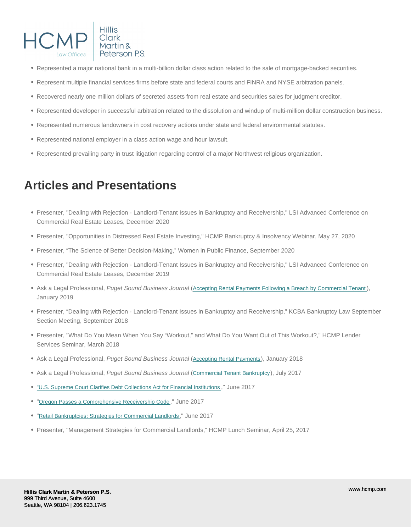- Represented a major national bank in a multi-billion dollar class action related to the sale of mortgage-backed securities.
- Represent multiple financial services firms before state and federal courts and FINRA and NYSE arbitration panels.
- Recovered nearly one million dollars of secreted assets from real estate and securities sales for judgment creditor.
- Represented developer in successful arbitration related to the dissolution and windup of multi-million dollar construction business.
- Represented numerous landowners in cost recovery actions under state and federal environmental statutes.
- Represented national employer in a class action wage and hour lawsuit.
- Represented prevailing party in trust litigation regarding control of a major Northwest religious organization.

# Articles and Presentations

- Presenter, "Dealing with Rejection Landlord-Tenant Issues in Bankruptcy and Receivership," LSI Advanced Conference on Commercial Real Estate Leases, December 2020
- Presenter, "Opportunities in Distressed Real Estate Investing," HCMP Bankruptcy & Insolvency Webinar, May 27, 2020
- Presenter, "The Science of Better Decision-Making," Women in Public Finance, September 2020
- Presenter, "Dealing with Rejection Landlord-Tenant Issues in Bankruptcy and Receivership," LSI Advanced Conference on Commercial Real Estate Leases, December 2019
- Ask a Legal Professional, Puget Sound Business Journal ([Accepting Rental Payments Following a Breach by Commercial Tenant](/uploads/pdf/hcmp-free-1-27-19-4822-7117-0957-v.1.pdf)), January 2019
- Presenter, "Dealing with Rejection Landlord-Tenant Issues in Bankruptcy and Receivership," KCBA Bankruptcy Law September Section Meeting, September 2018
- Presenter, "What Do You Mean When You Say "Workout," and What Do You Want Out of This Workout?," HCMP Lender Services Seminar, March 2018
- Ask a Legal Professional, Puget Sound Business Journal ([Accepting Rental Payments](/uploads/pdf/hcmp-free1-26-184823-5877-8714-aalpdf.pdf)), January 2018
- Ask a Legal Professional, Puget Sound Business Journal ([Commercial Tenant Bankruptcy](/uploads/pdf/hcmp-free-7-28-17-4817-8214-7916-v.1.pdf)), July 2017
- ["U.S. Supreme Court Clarifies Debt Collections Act for Financial Institutions](/blog/legal-resources/lender-services-and-finance/us-supreme-court-clarifies-scope-of-fair-debt-collections-practices-act-for-financial-institutions) ," June 2017
- "[Oregon Passes a Comprehensive Receivership Code](/blog/legal-resources/lender-services-and-finance/oregon-passes-a-comprehensive-receivership-code) ," June 2017
- "[Retail Bankruptcies: Strategies for Commercial Landlords](/blog/legal-resources/business/retail-bankruptcies-strategies-for-commercial-landlords)," June 2017
- Presenter, "Management Strategies for Commercial Landlords," HCMP Lunch Seminar, April 25, 2017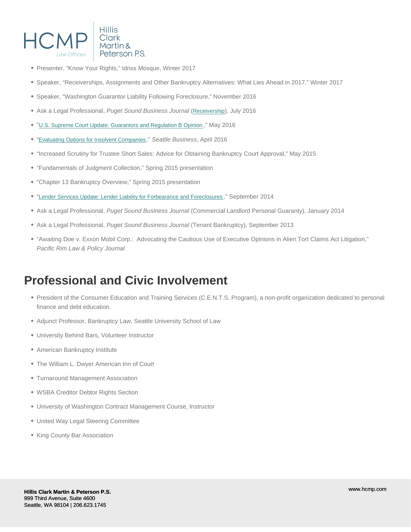- Presenter, "Know Your Rights," Idriss Mosque, Winter 2017
- Speaker, "Receiverships, Assignments and Other Bankruptcy Alternatives: What Lies Ahead in 2017," Winter 2017
- Speaker, "Washington Guarantor Liability Following Foreclosure," November 2016
- Ask a Legal Professional, Puget Sound Business Journal ([Receivership](/uploads/pdf/hcmp-free-7-29-16-3.pdf)), July 2016
- "[U.S. Supreme Court Update: Guarantors and Regulation B Opinion](https://www.hcmp.com/blog/news-and-events/news-events/us-supreme-court-update-guarantors-and-regulation-b-opinion) ," May 2016
- "[Evaluating Options for Insolvent Companies](/uploads/pdf/bcf-seattle-business-article.pdf)," Seattle Business, April 2016
- "Increased Scrutiny for Trustee Short Sales: Advice for Obtaining Bankruptcy Court Approval," May 2015
- "Fundamentals of Judgment Collection," Spring 2015 presentation
- "Chapter 13 Bankruptcy Overview," Spring 2015 presentation
- "[Lender Services Update: Lender Liability for Forbearance and Foreclosures](https://www.hcmp.com/blog/news-and-events/news-events/lender-services-update-lender-liability-for-forbearance-and-foreclosures) ," September 2014
- Ask a Legal Professional, Puget Sound Business Journal (Commercial Landlord Personal Guaranty), January 2014
- Ask a Legal Professional, Puget Sound Business Journal (Tenant Bankruptcy), September 2013
- "Awaiting Doe v. Exxon Mobil Corp.: Advocating the Cautious Use of Executive Opinions in Alien Tort Claims Act Litigation," Pacific Rim Law & Policy Journal

#### Professional and Civic Involvement

- President of the Consumer Education and Training Services (C.E.N.T.S. Program), a non-profit organization dedicated to personal finance and debt education.
- Adjunct Professor, Bankruptcy Law, Seattle University School of Law
- University Behind Bars, Volunteer Instructor
- American Bankruptcy Institute
- The William L. Dwyer American Inn of Court
- Turnaround Management Association
- WSBA Creditor Debtor Rights Section
- University of Washington Contract Management Course, Instructor
- United Way Legal Steering Committee
- King County Bar Association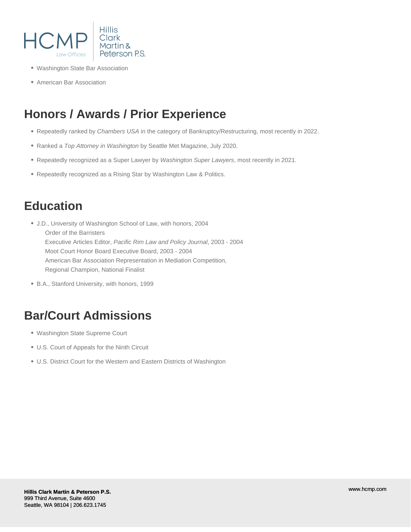

- Washington State Bar Association
- American Bar Association

# **Honors / Awards / Prior Experience**

- Repeatedly ranked by Chambers USA in the category of Bankruptcy/Restructuring, most recently in 2022.
- Ranked a Top Attorney in Washington by Seattle Met Magazine, July 2020.
- Repeatedly recognized as a Super Lawyer by Washington Super Lawyers, most recently in 2021.
- Repeatedly recognized as a Rising Star by Washington Law & Politics.

# **Education**

- J.D., University of Washington School of Law, with honors, 2004 Order of the Barristers Executive Articles Editor, Pacific Rim Law and Policy Journal, 2003 - 2004 Moot Court Honor Board Executive Board, 2003 - 2004 American Bar Association Representation in Mediation Competition, Regional Champion, National Finalist
- B.A., Stanford University, with honors, 1999

## **Bar/Court Admissions**

- Washington State Supreme Court
- U.S. Court of Appeals for the Ninth Circuit
- U.S. District Court for the Western and Eastern Districts of Washington